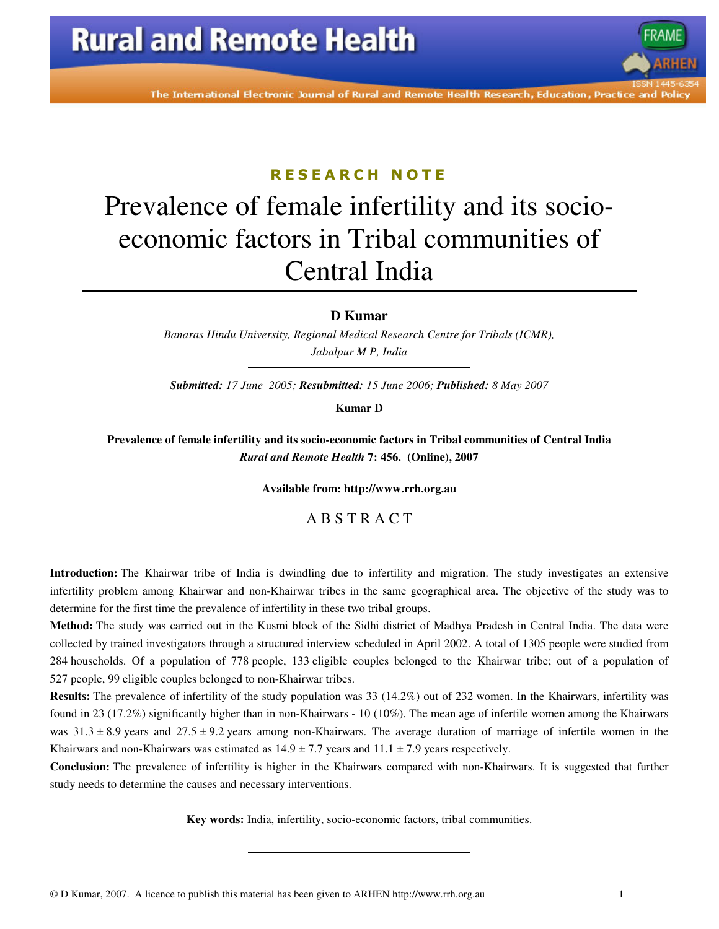

The International Electronic Journal of Rural and Remote Health Research, Education, Practice and Polic

### R E S E A R C H N O T E

# Prevalence of female infertility and its socioeconomic factors in Tribal communities of Central India

**D Kumar** 

*Banaras Hindu University, Regional Medical Research Centre for Tribals (ICMR), Jabalpur M P, India* 

*Submitted: 17 June 2005; Resubmitted: 15 June 2006; Published: 8 May 2007* 

**Kumar D** 

**Prevalence of female infertility and its socio-economic factors in Tribal communities of Central India** *Rural and Remote Health* **7: 456. (Online), 2007** 

**Available from: http://www.rrh.org.au** 

### A B S T R A C T

**Introduction:** The Khairwar tribe of India is dwindling due to infertility and migration. The study investigates an extensive infertility problem among Khairwar and non-Khairwar tribes in the same geographical area. The objective of the study was to determine for the first time the prevalence of infertility in these two tribal groups.

**Method:** The study was carried out in the Kusmi block of the Sidhi district of Madhya Pradesh in Central India. The data were collected by trained investigators through a structured interview scheduled in April 2002. A total of 1305 people were studied from 284 households. Of a population of 778 people, 133 eligible couples belonged to the Khairwar tribe; out of a population of 527 people, 99 eligible couples belonged to non-Khairwar tribes.

**Results:** The prevalence of infertility of the study population was 33 (14.2%) out of 232 women. In the Khairwars, infertility was found in 23 (17.2%) significantly higher than in non-Khairwars - 10 (10%). The mean age of infertile women among the Khairwars was  $31.3 \pm 8.9$  years and  $27.5 \pm 9.2$  years among non-Khairwars. The average duration of marriage of infertile women in the Khairwars and non-Khairwars was estimated as  $14.9 \pm 7.7$  years and  $11.1 \pm 7.9$  years respectively.

**Conclusion:** The prevalence of infertility is higher in the Khairwars compared with non-Khairwars. It is suggested that further study needs to determine the causes and necessary interventions.

**Key words:** India, infertility, socio-economic factors, tribal communities.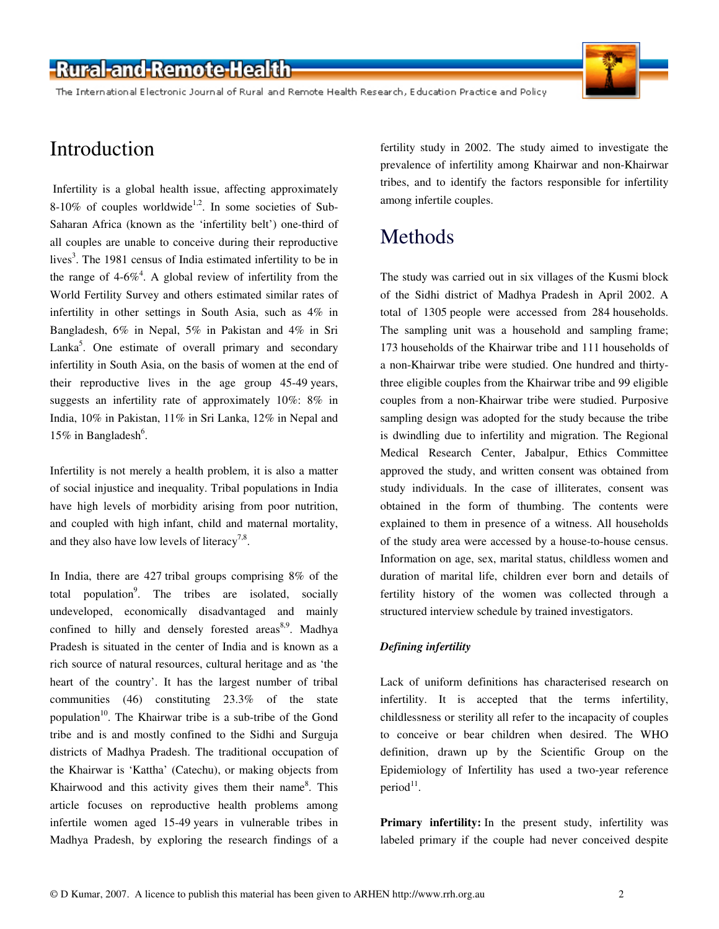### -Rural-and-Remote-Health

The International Electronic Journal of Rural and Remote Health Research, Education Practice and Policy



### Introduction

 Infertility is a global health issue, affecting approximately 8-10% of couples worldwide<sup>1,2</sup>. In some societies of Sub-Saharan Africa (known as the 'infertility belt') one-third of all couples are unable to conceive during their reproductive lives<sup>3</sup>. The 1981 census of India estimated infertility to be in the range of  $4-6\%$ <sup>4</sup>. A global review of infertility from the World Fertility Survey and others estimated similar rates of infertility in other settings in South Asia, such as 4% in Bangladesh, 6% in Nepal, 5% in Pakistan and 4% in Sri Lanka<sup>5</sup>. One estimate of overall primary and secondary infertility in South Asia, on the basis of women at the end of their reproductive lives in the age group 45-49 years, suggests an infertility rate of approximately 10%: 8% in India, 10% in Pakistan, 11% in Sri Lanka, 12% in Nepal and 15% in Bangladesh<sup>6</sup>.

Infertility is not merely a health problem, it is also a matter of social injustice and inequality. Tribal populations in India have high levels of morbidity arising from poor nutrition, and coupled with high infant, child and maternal mortality, and they also have low levels of literacy<sup>7,8</sup>.

In India, there are 427 tribal groups comprising 8% of the total population<sup>9</sup>. The tribes are isolated, socially undeveloped, economically disadvantaged and mainly confined to hilly and densely forested areas $8,9$ . Madhya Pradesh is situated in the center of India and is known as a rich source of natural resources, cultural heritage and as 'the heart of the country'. It has the largest number of tribal communities (46) constituting 23.3% of the state population<sup>10</sup>. The Khairwar tribe is a sub-tribe of the Gond tribe and is and mostly confined to the Sidhi and Surguja districts of Madhya Pradesh. The traditional occupation of the Khairwar is 'Kattha' (Catechu), or making objects from Khairwood and this activity gives them their name<sup>8</sup>. This article focuses on reproductive health problems among infertile women aged 15-49 years in vulnerable tribes in Madhya Pradesh, by exploring the research findings of a

fertility study in 2002. The study aimed to investigate the prevalence of infertility among Khairwar and non-Khairwar tribes, and to identify the factors responsible for infertility among infertile couples.

# Methods

The study was carried out in six villages of the Kusmi block of the Sidhi district of Madhya Pradesh in April 2002. A total of 1305 people were accessed from 284 households. The sampling unit was a household and sampling frame; 173 households of the Khairwar tribe and 111 households of a non-Khairwar tribe were studied. One hundred and thirtythree eligible couples from the Khairwar tribe and 99 eligible couples from a non-Khairwar tribe were studied. Purposive sampling design was adopted for the study because the tribe is dwindling due to infertility and migration. The Regional Medical Research Center, Jabalpur, Ethics Committee approved the study, and written consent was obtained from study individuals. In the case of illiterates, consent was obtained in the form of thumbing. The contents were explained to them in presence of a witness. All households of the study area were accessed by a house-to-house census. Information on age, sex, marital status, childless women and duration of marital life, children ever born and details of fertility history of the women was collected through a structured interview schedule by trained investigators.

### *Defining infertility*

Lack of uniform definitions has characterised research on infertility. It is accepted that the terms infertility, childlessness or sterility all refer to the incapacity of couples to conceive or bear children when desired. The WHO definition, drawn up by the Scientific Group on the Epidemiology of Infertility has used a two-year reference period<sup>11</sup>.

**Primary infertility:** In the present study, infertility was labeled primary if the couple had never conceived despite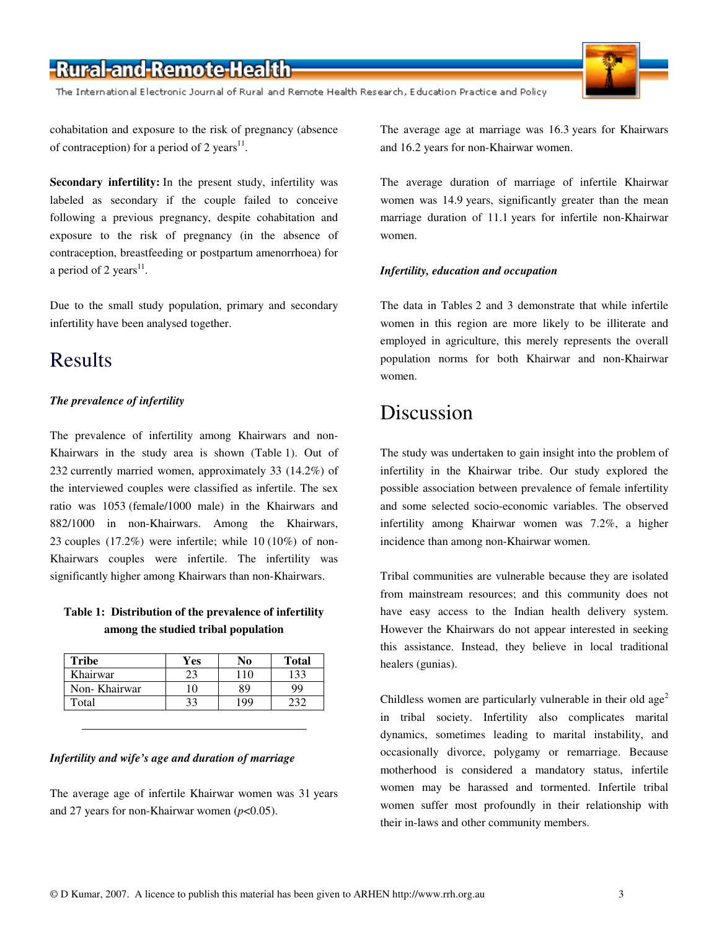# -Rural-and-Remote-Health

The International Electronic Journal of Rural and Remote Health Research, Education Practice and Policy



cohabitation and exposure to the risk of pregnancy (absence of contraception) for a period of 2 years $^{11}$ .

**Secondary infertility:** In the present study, infertility was labeled as secondary if the couple failed to conceive following a previous pregnancy, despite cohabitation and exposure to the risk of pregnancy (in the absence of contraception, breastfeeding or postpartum amenorrhoea) for a period of 2 years $^{11}$ .

Due to the small study population, primary and secondary infertility have been analysed together.

### Results

### *The prevalence of infertility*

The prevalence of infertility among Khairwars and non-Khairwars in the study area is shown (Table 1). Out of 232 currently married women, approximately 33 (14.2%) of the interviewed couples were classified as infertile. The sex ratio was 1053 (female/1000 male) in the Khairwars and 882/1000 in non-Khairwars. Among the Khairwars, 23 couples (17.2%) were infertile; while 10 (10%) of non-Khairwars couples were infertile. The infertility was significantly higher among Khairwars than non-Khairwars.

### **Table 1: Distribution of the prevalence of infertility among the studied tribal population**

| <b>Tribe</b> | Yes | No  | <b>Total</b> |
|--------------|-----|-----|--------------|
| Khairwar     |     | 10  | 133          |
| Non-Khairwar |     | 89  |              |
| Total        |     | 199 |              |

#### *Infertility and wife's age and duration of marriage*

The average age of infertile Khairwar women was 31 years and 27 years for non-Khairwar women (*p*<0.05).

The average age at marriage was 16.3 years for Khairwars and 16.2 years for non-Khairwar women.

The average duration of marriage of infertile Khairwar women was 14.9 years, significantly greater than the mean marriage duration of 11.1 years for infertile non-Khairwar women.

#### *Infertility, education and occupation*

The data in Tables 2 and 3 demonstrate that while infertile women in this region are more likely to be illiterate and employed in agriculture, this merely represents the overall population norms for both Khairwar and non-Khairwar women.

### Discussion

The study was undertaken to gain insight into the problem of infertility in the Khairwar tribe. Our study explored the possible association between prevalence of female infertility and some selected socio-economic variables. The observed infertility among Khairwar women was 7.2%, a higher incidence than among non-Khairwar women.

Tribal communities are vulnerable because they are isolated from mainstream resources; and this community does not have easy access to the Indian health delivery system. However the Khairwars do not appear interested in seeking this assistance. Instead, they believe in local traditional healers (gunias).

Childless women are particularly vulnerable in their old  $age<sup>2</sup>$ in tribal society. Infertility also complicates marital dynamics, sometimes leading to marital instability, and occasionally divorce, polygamy or remarriage. Because motherhood is considered a mandatory status, infertile women may be harassed and tormented. Infertile tribal women suffer most profoundly in their relationship with their in-laws and other community members.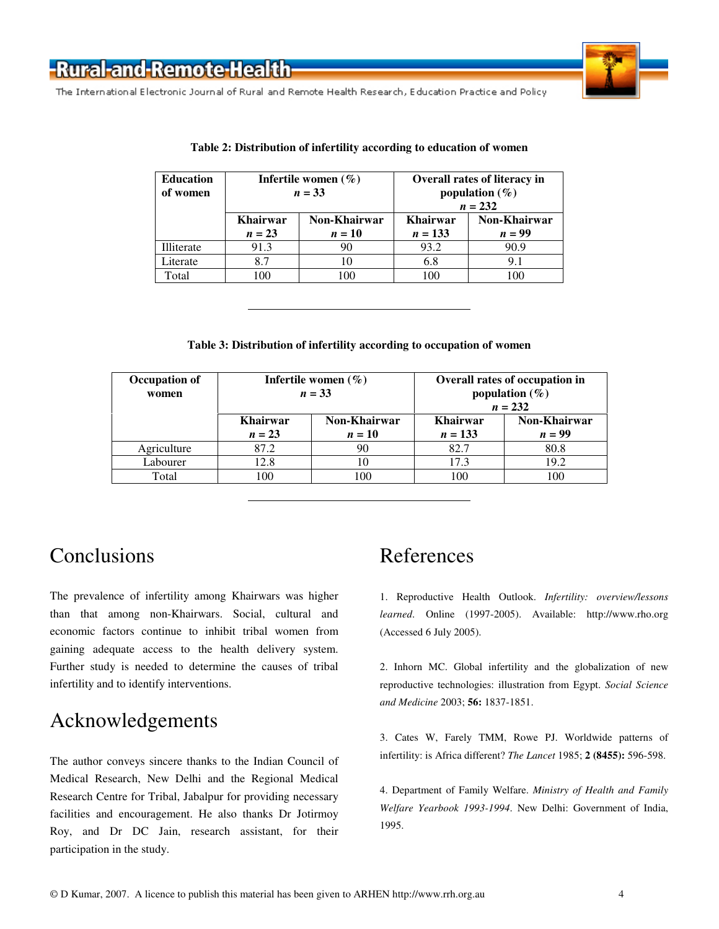

The International Electronic Journal of Rural and Remote Health Research, Education Practice and Policy

| <b>Education</b><br>of women | Infertile women $(\% )$<br>$n = 33$ |                        | <b>Overall rates of literacy in</b><br>population $(\%)$<br>$n = 232$ |                          |
|------------------------------|-------------------------------------|------------------------|-----------------------------------------------------------------------|--------------------------|
|                              | <b>Khairwar</b><br>$n = 23$         | Non-Khairwar<br>$n=10$ | <b>Khairwar</b><br>$n = 133$                                          | Non-Khairwar<br>$n = 99$ |
| Illiterate                   | 91.3                                | 90                     | 93.2                                                                  | 90.9                     |
| Literate                     | 8.7                                 | 10                     | 6.8                                                                   | 9.1                      |
| Total                        | 100                                 | 100                    | 100                                                                   | 100                      |

#### **Table 2: Distribution of infertility according to education of women**

#### **Table 3: Distribution of infertility according to occupation of women**

| Occupation of<br>women | Infertile women $(\% )$<br>$n = 33$ |                        | Overall rates of occupation in<br>population $(\%)$<br>$n = 232$ |                          |
|------------------------|-------------------------------------|------------------------|------------------------------------------------------------------|--------------------------|
|                        | <b>Khairwar</b><br>$n = 23$         | Non-Khairwar<br>$n=10$ | <b>Khairwar</b><br>$n = 133$                                     | Non-Khairwar<br>$n = 99$ |
| Agriculture            | 87.2                                | 90                     | 82.7                                                             | 80.8                     |
| Labourer               | 12.8                                | 10                     | 17.3                                                             | 19.2                     |
| Total                  | 100                                 | 100                    | 100                                                              | 100                      |

# **Conclusions**

The prevalence of infertility among Khairwars was higher than that among non-Khairwars. Social, cultural and economic factors continue to inhibit tribal women from gaining adequate access to the health delivery system. Further study is needed to determine the causes of tribal infertility and to identify interventions.

### Acknowledgements

The author conveys sincere thanks to the Indian Council of Medical Research, New Delhi and the Regional Medical Research Centre for Tribal, Jabalpur for providing necessary facilities and encouragement. He also thanks Dr Jotirmoy Roy, and Dr DC Jain, research assistant, for their participation in the study.

# References

1. Reproductive Health Outlook. *Infertility: overview/lessons learned*. Online (1997-2005). Available: http://www.rho.org (Accessed 6 July 2005).

2. Inhorn MC. Global infertility and the globalization of new reproductive technologies: illustration from Egypt. *Social Science and Medicine* 2003; **56:** 1837-1851.

3. Cates W, Farely TMM, Rowe PJ. Worldwide patterns of infertility: is Africa different? *The Lancet* 1985; **2 (8455):** 596-598.

4. Department of Family Welfare. *Ministry of Health and Family Welfare Yearbook 1993-1994*. New Delhi: Government of India, 1995.